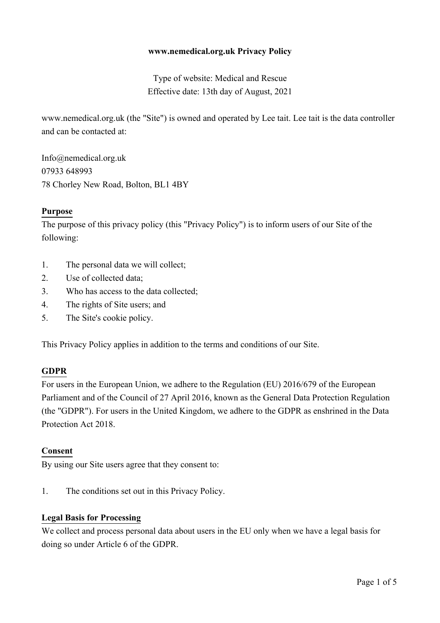## **www.nemedical.org.uk Privacy Policy**

Type of website: Medical and Rescue Effective date: 13th day of August, 2021

www.nemedical.org.uk (the "Site") is owned and operated by Lee tait. Lee tait is the data controller and can be contacted at:

Info@nemedical.org.uk 07933 648993 78 Chorley New Road, Bolton, BL1 4BY

## **Purpose**

The purpose of this privacy policy (this "Privacy Policy") is to inform users of our Site of the following:

- 1. The personal data we will collect;
- 2. Use of collected data;
- 3. Who has access to the data collected;
- 4. The rights of Site users; and
- 5. The Site's cookie policy.

This Privacy Policy applies in addition to the terms and conditions of our Site.

#### **GDPR**

For users in the European Union, we adhere to the Regulation (EU) 2016/679 of the European Parliament and of the Council of 27 April 2016, known as the General Data Protection Regulation (the "GDPR"). For users in the United Kingdom, we adhere to the GDPR as enshrined in the Data Protection Act 2018.

#### **Consent**

By using our Site users agree that they consent to:

1. The conditions set out in this Privacy Policy.

#### **Legal Basis for Processing**

We collect and process personal data about users in the EU only when we have a legal basis for doing so under Article 6 of the GDPR.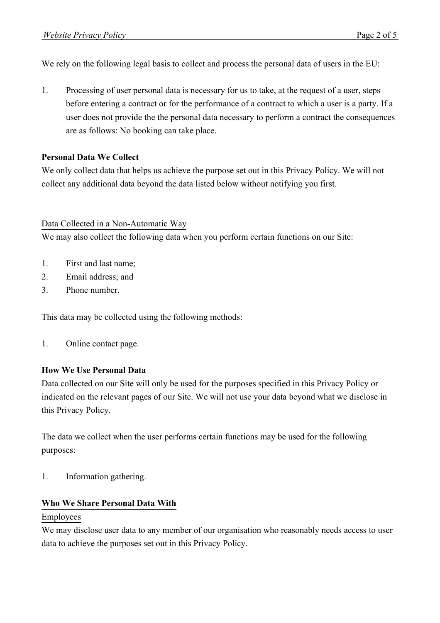We rely on the following legal basis to collect and process the personal data of users in the EU:

1. Processing of user personal data is necessary for us to take, at the request of a user, steps before entering a contract or for the performance of a contract to which a user is a party. If a user does not provide the the personal data necessary to perform a contract the consequences are as follows: No booking can take place.

## **Personal Data We Collect**

We only collect data that helps us achieve the purpose set out in this Privacy Policy. We will not collect any additional data beyond the data listed below without notifying you first.

## Data Collected in a Non-Automatic Way

We may also collect the following data when you perform certain functions on our Site:

- 1. First and last name;
- 2. Email address; and
- 3. Phone number.

This data may be collected using the following methods:

1. Online contact page.

## **How We Use Personal Data**

Data collected on our Site will only be used for the purposes specified in this Privacy Policy or indicated on the relevant pages of our Site. We will not use your data beyond what we disclose in this Privacy Policy.

The data we collect when the user performs certain functions may be used for the following purposes:

1. Information gathering.

# **Who We Share Personal Data With**

## Employees

We may disclose user data to any member of our organisation who reasonably needs access to user data to achieve the purposes set out in this Privacy Policy.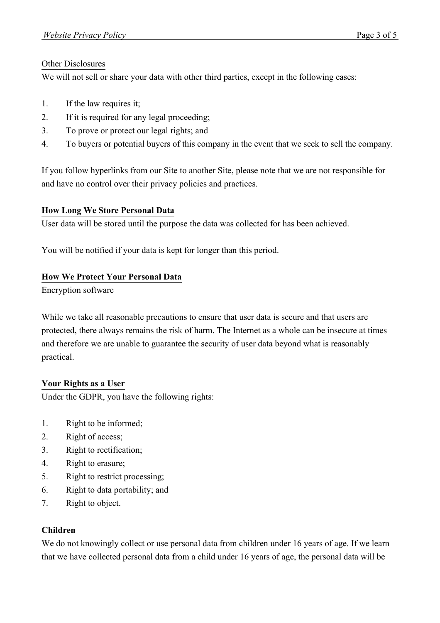## Other Disclosures

We will not sell or share your data with other third parties, except in the following cases:

- 1. If the law requires it;
- 2. If it is required for any legal proceeding;
- 3. To prove or protect our legal rights; and
- 4. To buyers or potential buyers of this company in the event that we seek to sell the company.

If you follow hyperlinks from our Site to another Site, please note that we are not responsible for and have no control over their privacy policies and practices.

# **How Long We Store Personal Data**

User data will be stored until the purpose the data was collected for has been achieved.

You will be notified if your data is kept for longer than this period.

# **How We Protect Your Personal Data**

Encryption software

While we take all reasonable precautions to ensure that user data is secure and that users are protected, there always remains the risk of harm. The Internet as a whole can be insecure at times and therefore we are unable to guarantee the security of user data beyond what is reasonably practical.

# **Your Rights as a User**

Under the GDPR, you have the following rights:

- 1. Right to be informed;
- 2. Right of access;
- 3. Right to rectification;
- 4. Right to erasure;
- 5. Right to restrict processing;
- 6. Right to data portability; and
- 7. Right to object.

# **Children**

We do not knowingly collect or use personal data from children under 16 years of age. If we learn that we have collected personal data from a child under 16 years of age, the personal data will be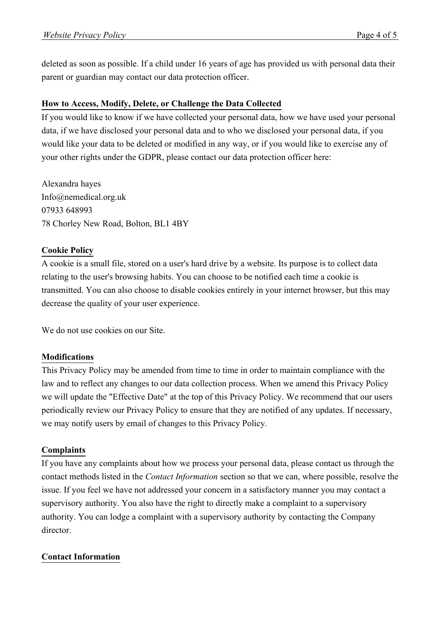deleted as soon as possible. If a child under 16 years of age has provided us with personal data their parent or guardian may contact our data protection officer.

### **How to Access, Modify, Delete, or Challenge the Data Collected**

If you would like to know if we have collected your personal data, how we have used your personal data, if we have disclosed your personal data and to who we disclosed your personal data, if you would like your data to be deleted or modified in any way, or if you would like to exercise any of your other rights under the GDPR, please contact our data protection officer here:

Alexandra hayes Info@nemedical.org.uk 07933 648993 78 Chorley New Road, Bolton, BL1 4BY

### **Cookie Policy**

A cookie is a small file, stored on a user's hard drive by a website. Its purpose is to collect data relating to the user's browsing habits. You can choose to be notified each time a cookie is transmitted. You can also choose to disable cookies entirely in your internet browser, but this may decrease the quality of your user experience.

We do not use cookies on our Site.

#### **Modifications**

This Privacy Policy may be amended from time to time in order to maintain compliance with the law and to reflect any changes to our data collection process. When we amend this Privacy Policy we will update the "Effective Date" at the top of this Privacy Policy. We recommend that our users periodically review our Privacy Policy to ensure that they are notified of any updates. If necessary, we may notify users by email of changes to this Privacy Policy.

#### **Complaints**

If you have any complaints about how we process your personal data, please contact us through the contact methods listed in the *Contact Information* section so that we can, where possible, resolve the issue. If you feel we have not addressed your concern in a satisfactory manner you may contact a supervisory authority. You also have the right to directly make a complaint to a supervisory authority. You can lodge a complaint with a supervisory authority by contacting the Company director.

#### **Contact Information**